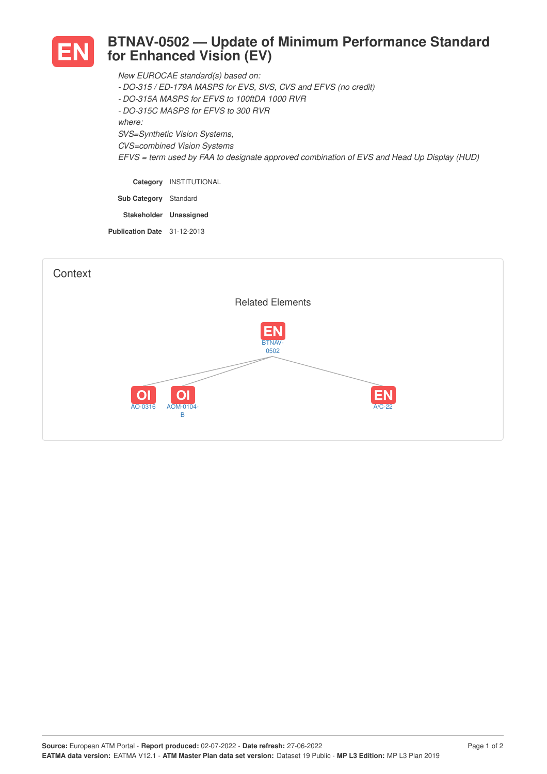

## **BTNAV-0502 — Update of Minimum Performance Standard for Enhanced Vision (EV)**

*New EUROCAE standard(s) based on:*

- *- DO-315 / ED-179A MASPS for EVS, SVS, CVS and EFVS (no credit)*
- *- DO-315A MASPS for EFVS to 100ftDA 1000 RVR*
- *- DO-315C MASPS for EFVS to 300 RVR*

*where:*

*SVS=Synthetic Vision Systems,*

*CVS=combined Vision Systems*

*EFVS = term used by FAA to designate approved combination of EVS and Head Up Display (HUD)*

**Category** INSTITUTIONAL **Sub Category** Standard

**Stakeholder Unassigned**

**Publication Date** 31-12-2013